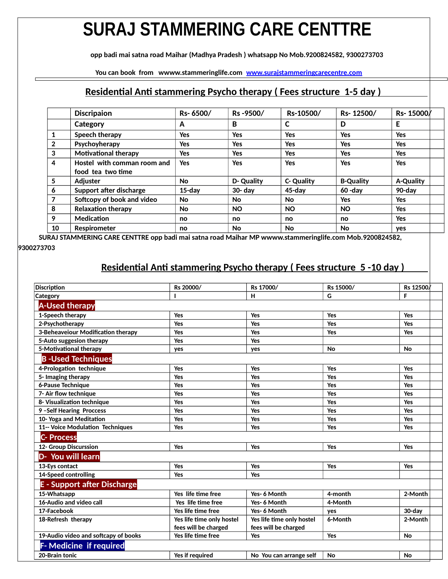## **SURAJ STAMMERING CARE CENTTRE**

 **opp badi mai satna road Maihar (Madhya Pradesh ) whatsapp No Mob.9200824582, 9300273703**

 **You can book from wwww.stammeringlife.com [www.surajstammeringcarecentre.com](http://www.surajstammeringcarecentre.com/)** 

#### **Residential Anti stammering Psycho therapy ( Fees structure 1-5 day )**

| <b>Discripaion</b>          | Rs-6500/   | Rs-9500/   | Rs-10500/         | Rs-12500/        | Rs-15000   |
|-----------------------------|------------|------------|-------------------|------------------|------------|
| Category                    | A          | В          | C                 | D                | E          |
| Speech therapy              | Yes        | Yes        | <b>Yes</b>        | <b>Yes</b>       | Yes        |
| Psychoyherapy               | Yes        | Yes        | <b>Yes</b>        | <b>Yes</b>       | <b>Yes</b> |
| <b>Motivational therapy</b> | Yes        | <b>Yes</b> | <b>Yes</b>        | <b>Yes</b>       | <b>Yes</b> |
| Hostel with comman room and | <b>Yes</b> | Yes        | <b>Yes</b>        | <b>Yes</b>       | <b>Yes</b> |
| food tea two time           |            |            |                   |                  |            |
| Adjuster                    | <b>No</b>  | D-Quality  | <b>C- Quality</b> | <b>B-Quality</b> | A-Quality  |
| Support after discharge     | $15$ -day  | $30 - day$ | 45-day            | $60 - day$       | 90-day     |
| Softcopy of book and video  | No         | No         | No                | Yes              | Yes        |
| <b>Relaxation therapy</b>   | No         | <b>NO</b>  | <b>NO</b>         | <b>NO</b>        | <b>Yes</b> |
| Medication                  | no         | no         | no                | no               | <b>Yes</b> |
| <b>Respirometer</b>         | no         | No         | No                | <b>No</b>        | yes        |
|                             |            |            |                   |                  |            |

 **SURAJ STAMMERING CARE CENTTRE opp badi mai satna road Maihar MP wwww.stammeringlife.com Mob.9200824582, 9300273703**

#### **Residential Anti stammering Psycho therapy ( Fees structure 5 -10 day )**

| <b>Discription</b>                   | Rs 20000/                 | Rs 17000/                 | Rs 15000/ | Rs 12500   |
|--------------------------------------|---------------------------|---------------------------|-----------|------------|
| Category                             |                           | H                         | G         | F          |
| <b>A-Used therapy</b>                |                           |                           |           |            |
| 1-Speech therapy                     | Yes                       | Yes                       | Yes       | Yes        |
| 2-Psychotherapy                      | Yes                       | Yes                       | Yes       | Yes        |
| 3-Beheaveiour Modification therapy   | Yes                       | Yes                       | Yes       | Yes        |
| 5-Auto suggesion therapy             | Yes                       | Yes                       |           |            |
| 5-Motivational therapy               | yes                       | yes                       | <b>No</b> | <b>No</b>  |
| <b>B-Used Techniques</b>             |                           |                           |           |            |
| 4-Prologation technique              | <b>Yes</b>                | <b>Yes</b>                | Yes       | <b>Yes</b> |
| 5- Imaging therapy                   | Yes                       | Yes                       | Yes       | Yes        |
| 6-Pause Technique                    | Yes                       | Yes                       | Yes       | Yes        |
| 7- Air flow technique                | Yes                       | Yes                       | Yes       | Yes        |
| 8- Visualization technique           | Yes                       | Yes                       | Yes       | Yes        |
| 9-Self Hearing Proccess              | Yes                       | Yes                       | Yes       | Yes        |
| 10- Yoga and Meditation              | Yes                       | Yes                       | Yes       | Yes        |
| 11-- Voice Modulation Techniques     | Yes                       | Yes                       | Yes       | Yes        |
| <b>C-Process</b>                     |                           |                           |           |            |
| 12- Group Discurssion                | Yes                       | Yes                       | Yes       | Yes        |
| D- You will learn                    |                           |                           |           |            |
| 13-Eys contact                       | Yes                       | Yes                       | Yes       | Yes        |
| 14-Speed controlling                 | Yes                       | Yes                       |           |            |
| <b>E</b> - Support after Discharge   |                           |                           |           |            |
| 15-Whatsapp                          | Yes life time free        | Yes- 6 Month              | 4-month   | 2-Month    |
| 16-Audio and video call              | Yes life time free        | Yes- 6 Month              | 4-Month   |            |
| 17-Facebook                          | Yes life time free        | Yes- 6 Month              | yes       | 30-day     |
| 18-Refresh therapy                   | Yes life time only hostel | Yes life time only hostel | 6-Month   | 2-Month    |
|                                      | fees will be charged      | fees will be charged      |           |            |
| 19-Audio video and softcapy of books | Yes life time free        | Yes                       | Yes       | <b>No</b>  |
| <b>F- Medicine if required</b>       |                           |                           |           |            |
| 20-Brain tonic                       | Yes if required           | No You can arrange self   | <b>No</b> | <b>No</b>  |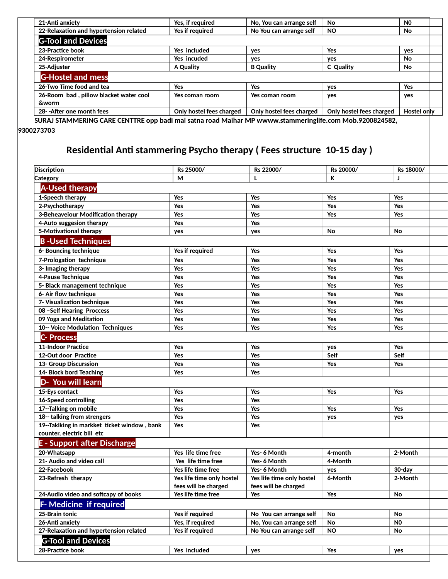| 21-Anti anxiety                                            | Yes, if required         | No, You can arrange self | <b>No</b>                | N <sub>0</sub> |
|------------------------------------------------------------|--------------------------|--------------------------|--------------------------|----------------|
| 22-Relaxation and hypertension related                     | Yes if required          | No You can arrange self  | <b>NO</b>                | No             |
| <b>G-Tool and Devices</b>                                  |                          |                          |                          |                |
| 23-Practice book                                           | Yes included             | yes                      | <b>Yes</b>               | yes            |
| 24-Respirometer                                            | Yes incuded              | ves                      | yes                      | <b>No</b>      |
| 25-Adjuster                                                | A Quality                | <b>B</b> Quality         | C Quality                | No             |
| <b>G-Hostel and mess</b>                                   |                          |                          |                          |                |
| 26-Two Time food and tea                                   | Yes                      | Yes                      | yes                      | Yes            |
| 26-Room bad, pillow blacket water cool<br><b>&amp;worm</b> | Yes coman room           | Yes coman room           | yes                      | yes            |
| 28- - After one month fees                                 | Only hostel fees charged | Only hostel fees charged | Only hostel fees charged | Hostel only    |

 **SURAJ STAMMERING CARE CENTTRE opp badi mai satna road Maihar MP wwww.stammeringlife.com Mob.9200824582, 9300273703**

#### **Residential Anti stammering Psycho therapy ( Fees structure 10-15 day )**

| <b>Discription</b>                          | Rs 25000/                 | Rs 22000/                 | Rs 20000/ | Rs 18000/      |  |  |  |  |
|---------------------------------------------|---------------------------|---------------------------|-----------|----------------|--|--|--|--|
| <b>Category</b>                             | м                         | L                         | К         | л              |  |  |  |  |
| <b>A-Used therapy</b>                       |                           |                           |           |                |  |  |  |  |
| 1-Speech therapy                            | Yes                       | Yes                       | Yes       | Yes            |  |  |  |  |
| 2-Psychotherapy                             | Yes                       | Yes                       | Yes       | Yes            |  |  |  |  |
| 3-Beheaveiour Modification therapy          | Yes                       | Yes                       | Yes       | Yes            |  |  |  |  |
| 4-Auto suggesion therapy                    | Yes                       | Yes                       |           |                |  |  |  |  |
| 5-Motivational therapy                      | yes                       | yes                       | No        | No             |  |  |  |  |
| <b>B-Used Techniques</b>                    |                           |                           |           |                |  |  |  |  |
| 6- Bouncing technique                       | Yes if required           | Yes                       | Yes       | Yes            |  |  |  |  |
| 7-Prologation technique                     | Yes                       | Yes                       | Yes       | Yes            |  |  |  |  |
| 3- Imaging therapy                          | Yes                       | Yes                       | Yes       | Yes            |  |  |  |  |
| 4-Pause Technique                           | Yes                       | Yes                       | Yes       | Yes            |  |  |  |  |
| 5- Black management technique               | Yes                       | Yes                       | Yes       | Yes            |  |  |  |  |
| 6- Air flow technique                       | Yes                       | Yes                       | Yes       | Yes            |  |  |  |  |
| 7- Visualization technique                  | Yes                       | Yes                       | Yes       | Yes            |  |  |  |  |
| 08 - Self Hearing Proccess                  | Yes                       | Yes                       | Yes       | Yes            |  |  |  |  |
| 09 Yoga and Meditation                      | Yes                       | Yes                       | Yes       | Yes            |  |  |  |  |
| 10-- Voice Modulation Techniques            | Yes                       | Yes                       | Yes       | Yes            |  |  |  |  |
| <b>C-Process</b>                            |                           |                           |           |                |  |  |  |  |
| <b>11-Indoor Practice</b>                   | Yes                       | Yes                       | yes       | Yes            |  |  |  |  |
| 12-Out door Practice                        | Yes                       | Yes                       | Self      | Self           |  |  |  |  |
| 13- Group Discurssion                       | Yes                       | Yes                       | Yes       | Yes            |  |  |  |  |
| 14- Block bord Teaching                     | Yes                       | Yes                       |           |                |  |  |  |  |
| D- You will learn                           |                           |                           |           |                |  |  |  |  |
| 15-Eys contact                              | Yes                       | Yes                       | Yes       | Yes            |  |  |  |  |
| 16-Speed controlling                        | Yes                       | Yes                       |           |                |  |  |  |  |
| 17--Talking on mobile                       | Yes                       | Yes                       | Yes       | Yes            |  |  |  |  |
| 18-- talking from strengers                 | Yes                       | Yes                       | yes       | yes            |  |  |  |  |
| 19--Taklking in markket ticket window, bank | Yes                       | Yes                       |           |                |  |  |  |  |
| counter, electric bill etc                  |                           |                           |           |                |  |  |  |  |
| <b>E</b> - Support after Discharge          |                           |                           |           |                |  |  |  |  |
| 20-Whatsapp                                 | Yes life time free        | Yes- 6 Month              | 4-month   | 2-Month        |  |  |  |  |
| 21- Audio and video call                    | Yes life time free        | Yes- 6 Month              | 4-Month   |                |  |  |  |  |
| 22-Facebook                                 | Yes life time free        | Yes- 6 Month              | yes       | 30-day         |  |  |  |  |
| 23-Refresh therapy                          | Yes life time only hostel | Yes life time only hostel | 6-Month   | 2-Month        |  |  |  |  |
|                                             | fees will be charged      | fees will be charged      |           |                |  |  |  |  |
| 24-Audio video and softcapy of books        | Yes life time free        | Yes                       | Yes       | No.            |  |  |  |  |
| <b>F-Medicine if required</b>               |                           |                           |           |                |  |  |  |  |
| 25-Brain tonic                              | Yes if required           | No You can arrange self   | No        | No             |  |  |  |  |
| 26-Anti anxiety                             | Yes, if required          | No, You can arrange self  | No        | N <sub>0</sub> |  |  |  |  |
| 27-Relaxation and hypertension related      | Yes if required           | No You can arrange self   | <b>NO</b> | No             |  |  |  |  |
| <b>G-Tool and Devices</b>                   |                           |                           |           |                |  |  |  |  |
| 28-Practice book                            | Yes included              | yes                       | Yes       | yes            |  |  |  |  |
|                                             |                           |                           |           |                |  |  |  |  |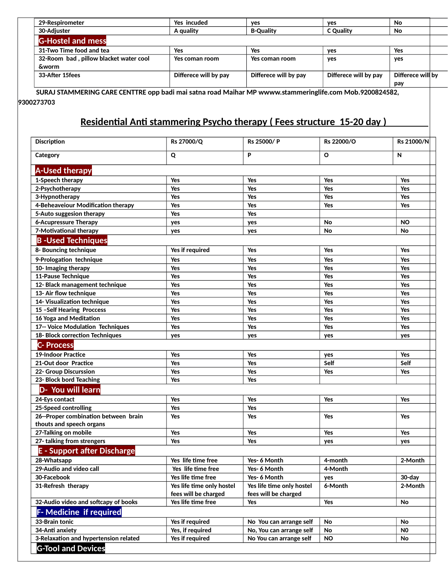| 29-Respirometer                        | Yes incuded           | ves                   | ves                   | No                |  |
|----------------------------------------|-----------------------|-----------------------|-----------------------|-------------------|--|
| 30-Adiuster                            | A quality             | <b>B-Quality</b>      | <b>C</b> Quality      | No                |  |
| <b>G-Hostel and mess</b>               |                       |                       |                       |                   |  |
| 31-Two Time food and tea               | Yes                   | Yes                   | ves                   | Yes               |  |
| 32-Room bad, pillow blacket water cool | Yes coman room        | Yes coman room        | yes                   | yes               |  |
| <b>&amp;worm</b>                       |                       |                       |                       |                   |  |
| 33-After 15fees                        | Differece will by pay | Differece will by pay | Differece will by pay | Differece will by |  |
|                                        |                       |                       |                       | pay               |  |

 **SURAJ STAMMERING CARE CENTTRE opp badi mai satna road Maihar MP wwww.stammeringlife.com Mob.9200824582, 9300273703** 

#### **Residential Anti stammering Psycho therapy ( Fees structure 15-20 day )**

| <b>Discription</b>                    | Rs 27000/Q                | Rs 25000/P                | Rs 22000/O | Rs 21000/N |
|---------------------------------------|---------------------------|---------------------------|------------|------------|
| Category                              | Q                         | P                         | O          | N          |
| <b>A-Used therapy</b>                 |                           |                           |            |            |
| 1-Speech therapy                      | Yes                       | Yes                       | Yes        | Yes        |
| 2-Psychotherapy                       | Yes                       | Yes                       | Yes        | Yes        |
| 3-Hypnotherapy                        | Yes                       | Yes                       | Yes        | Yes        |
| 4-Beheaveiour Modification therapy    | Yes                       | Yes                       | Yes        | Yes        |
| 5-Auto suggesion therapy              | Yes                       | Yes                       |            |            |
| <b>6-Acupressure Therapy</b>          | yes                       | yes                       | No         | <b>NO</b>  |
| 7-Motivational therapy                | yes                       | yes                       | No         | No         |
| <b>B-Used Techniques</b>              |                           |                           |            |            |
| 8- Bouncing technique                 | Yes if required           | Yes                       | Yes        | Yes        |
| 9-Prologation technique               | Yes                       | Yes                       | Yes        | Yes        |
| 10- Imaging therapy                   | Yes                       | Yes                       | Yes        | Yes        |
| <b>11-Pause Technique</b>             | Yes                       | Yes                       | Yes        | Yes        |
| 12- Black management technique        | Yes                       | Yes                       | Yes        | Yes        |
| 13- Air flow technique                | Yes                       | Yes                       | Yes        | Yes        |
| 14- Visualization technique           | Yes                       | Yes                       | Yes        | Yes        |
| 15 - Self Hearing Proccess            | Yes                       | Yes                       | Yes        | Yes        |
| 16 Yoga and Meditation                | Yes                       | Yes                       | Yes        | Yes        |
| 17-- Voice Modulation Techniques      | Yes                       | Yes                       | Yes        | Yes        |
| 18- Block correction Techniques       | yes                       | yes                       | yes        | yes        |
| <b>C- Process</b>                     |                           |                           |            |            |
| <b>19-Indoor Practice</b>             | Yes                       | Yes                       | yes        | Yes        |
| 21-Out door Practice                  | Yes                       | Yes                       | Self       | Self       |
| 22- Group Discurssion                 | Yes                       | Yes                       | Yes        | Yes        |
| 23- Block bord Teaching               | Yes                       | Yes                       |            |            |
| D- You will learn                     |                           |                           |            |            |
| 24-Eys contact                        | Yes                       | Yes                       | Yes        | Yes        |
| 25-Speed controlling                  | Yes                       | Yes                       |            |            |
| 26--Proper combination between brain  | Yes                       | Yes                       | Yes        | <b>Yes</b> |
| thouts and speech organs              |                           |                           |            |            |
| 27-Talking on mobile                  | Yes                       | Yes                       | Yes        | Yes        |
| 27- talking from strengers            | Yes                       | Yes                       | yes        | yes        |
| <b>E</b> - Support after Discharge    |                           |                           |            |            |
| 28-Whatsapp                           | Yes life time free        | Yes- 6 Month              | 4-month    | 2-Month    |
| 29-Audio and video call               | Yes life time free        | Yes- 6 Month              | 4-Month    |            |
| 30-Facebook                           | Yes life time free        | Yes- 6 Month              | yes        | 30-day     |
| 31-Refresh therapy                    | Yes life time only hostel | Yes life time only hostel | 6-Month    | 2-Month    |
|                                       | fees will be charged      | fees will be charged      |            |            |
| 32-Audio video and softcapy of books  | Yes life time free        | Yes                       | Yes        | No         |
| <b>F-Medicine if required</b>         |                           |                           |            |            |
| 33-Brain tonic                        | Yes if required           | No You can arrange self   | No         | No         |
| 34-Anti anxiety                       | Yes, if required          | No, You can arrange self  | No         | N0         |
| 3-Relaxation and hypertension related | Yes if required           | No You can arrange self   | NO.        | No         |
| <b>G-Tool and Devices</b>             |                           |                           |            |            |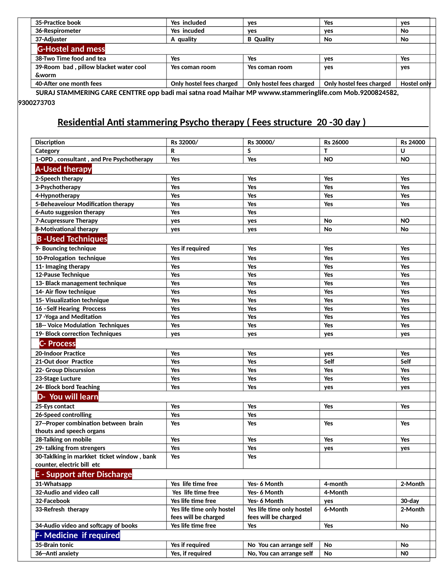| 35-Practice book                                                                                         | Yes included             | yes                      | Yes                      | yes         |  |
|----------------------------------------------------------------------------------------------------------|--------------------------|--------------------------|--------------------------|-------------|--|
| 36-Respirometer                                                                                          | Yes incuded              | ves                      | ves                      | No          |  |
| 37-Adiuster                                                                                              | A quality                | <b>B</b> Quality         | No                       | No          |  |
| <b>G-Hostel and mess</b>                                                                                 |                          |                          |                          |             |  |
| 38-Two Time food and tea                                                                                 | Yes                      | Yes                      | ves                      | Yes         |  |
| 39-Room bad, pillow blacket water cool                                                                   | Yes coman room           | Yes coman room           | ves                      | yes         |  |
| &worm                                                                                                    |                          |                          |                          |             |  |
| 40-After one month fees                                                                                  | Only hostel fees charged | Only hostel fees charged | Only hostel fees charged | Hostel only |  |
| SLIRA I STAMMERING CARE CENTTRE onn badi mai satna road Maibar MD wwww stammeringlife com Mob 9200824582 |                          |                          |                          |             |  |

 **SURAJ STAMMERING CARE CENTTRE opp badi mai satna road Maihar MP wwww.stammeringlife.com Mob.9200824582, 9300273703**

#### **Residential Anti stammering Psycho therapy ( Fees structure 20 -30 day )**

| <b>Discription</b>                                               | Rs 32000/                 | Rs 30000/                 | Rs 26000  | Rs 24000       |
|------------------------------------------------------------------|---------------------------|---------------------------|-----------|----------------|
| Category                                                         | R                         | S                         | т         | U              |
| 1-OPD, consultant, and Pre Psychotherapy                         | Yes                       | Yes                       | <b>NO</b> | <b>NO</b>      |
| <b>A-Used therapy</b>                                            |                           |                           |           |                |
| 2-Speech therapy                                                 | Yes                       | Yes                       | Yes       | Yes            |
| 3-Psychotherapy                                                  | Yes                       | Yes                       | Yes       | Yes            |
| 4-Hypnotherapy                                                   | Yes                       | Yes                       | Yes       | Yes            |
| 5-Beheaveiour Modification therapy                               | Yes                       | Yes                       | Yes       | Yes            |
| 6-Auto suggesion therapy                                         | Yes                       | Yes                       |           |                |
| <b>7-Acupressure Therapy</b>                                     | yes                       | yes                       | No        | <b>NO</b>      |
| 8-Motivational therapy                                           | yes                       | yes                       | No        | No             |
| <b>B-Used Techniques</b>                                         |                           |                           |           |                |
| 9- Bouncing technique                                            | Yes if required           | Yes                       | Yes       | Yes            |
| 10-Prologation technique                                         | Yes                       | Yes                       | Yes       | Yes            |
| 11- Imaging therapy                                              | Yes                       | Yes                       | Yes       | Yes            |
| 12-Pause Technique                                               | Yes                       | Yes                       | Yes       | Yes            |
| 13- Black management technique                                   | Yes                       | Yes                       | Yes       | Yes            |
| 14- Air flow technique                                           | Yes                       | Yes                       | Yes       | Yes            |
| 15- Visualization technique                                      | Yes                       | Yes                       | Yes       | Yes            |
| 16 -Self Hearing Proccess                                        | Yes                       | Yes                       | Yes       | Yes            |
| 17 - Yoga and Meditation                                         | Yes                       | Yes                       | Yes       | Yes            |
| 18-- Voice Modulation Techniques                                 | Yes                       | Yes                       | Yes       | Yes            |
| 19- Block correction Techniques                                  | yes                       | yes                       | yes       | yes            |
| <b>C-Process</b>                                                 |                           |                           |           |                |
| 20-Indoor Practice                                               | Yes                       | Yes                       | yes       | Yes            |
| 21-Out door Practice                                             | Yes                       | Yes                       | Self      | Self           |
| 22- Group Discurssion                                            | Yes                       | Yes                       | Yes       | Yes            |
| 23-Stage Lucture                                                 | Yes                       | Yes                       | Yes       | Yes            |
| 24- Block bord Teaching                                          | Yes                       | Yes                       | yes       | yes            |
| D- You will learn                                                |                           |                           |           |                |
| 25-Eys contact                                                   | Yes                       | Yes                       | Yes       | Yes            |
| 26-Speed controlling                                             | <b>Yes</b>                | Yes                       |           |                |
| 27--Proper combination between brain<br>thouts and speech organs | Yes                       | Yes                       | Yes       | Yes            |
| 28-Talking on mobile                                             | Yes                       | Yes                       | Yes       | Yes            |
| 29- talking from strengers                                       | Yes                       | Yes                       |           |                |
| 30-Taklking in markket ticket window, bank                       | <b>Yes</b>                | Yes                       | yes       | yes            |
| counter, electric bill etc                                       |                           |                           |           |                |
| <b>E</b> - Support after Discharge                               |                           |                           |           |                |
|                                                                  | Yes life time free        | Yes- 6 Month              | 4-month   | 2-Month        |
| 31-Whatsapp<br>32-Audio and video call                           | Yes life time free        | Yes- 6 Month              | 4-Month   |                |
| 32-Facebook                                                      | Yes life time free        | Yes- 6 Month              | yes       | 30-day         |
| 33-Refresh therapy                                               | Yes life time only hostel | Yes life time only hostel | 6-Month   | 2-Month        |
|                                                                  | fees will be charged      | fees will be charged      |           |                |
| 34-Audio video and softcapy of books                             | Yes life time free        | Yes                       | Yes       | No             |
| <b>F-Medicine if required</b>                                    |                           |                           |           |                |
| 35-Brain tonic                                                   | Yes if required           | No You can arrange self   | No        | No             |
| 36--Anti anxiety                                                 | Yes, if required          | No, You can arrange self  | No        | N <sub>0</sub> |